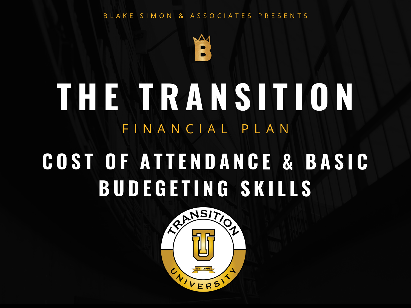#### B L A K E S I M O N & A S S O C I A T E S P R E S E N T S



### **T H E T R A N S I T I O N** F I N A N C LA L P L A N **C O S T O F A T T E N D A N C E & B A S I C B U D E G E T I N G S K I L L S**

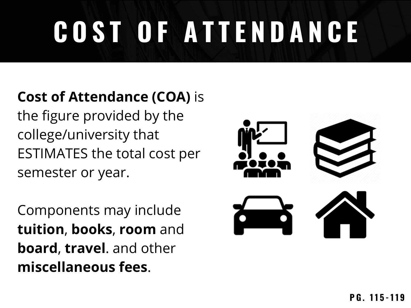# **C O S T O F A T T E N D A N C E**

### **Cost of Attendance (COA)** is

the figure provided by the college/university that ESTIMATES the total cost per semester or year.

Components may include **tuition**, **books**, **room** and **board**, **travel**. and other **miscellaneous fees**.

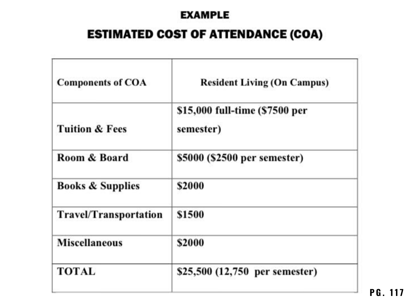#### **EXAMPLE**

#### **ESTIMATED COST OF ATTENDANCE (COA)**

| <b>Components of COA</b>     | <b>Resident Living (On Campus)</b>          |  |
|------------------------------|---------------------------------------------|--|
| <b>Tuition &amp; Fees</b>    | \$15,000 full-time (\$7500 per<br>semester) |  |
| Room & Board                 | \$5000 (\$2500 per semester)                |  |
| <b>Books &amp; Supplies</b>  | \$2000                                      |  |
| <b>Travel/Transportation</b> | \$1500                                      |  |
| <b>Miscellaneous</b>         | \$2000                                      |  |
| TOTAL                        | \$25,500 (12,750 per semester)              |  |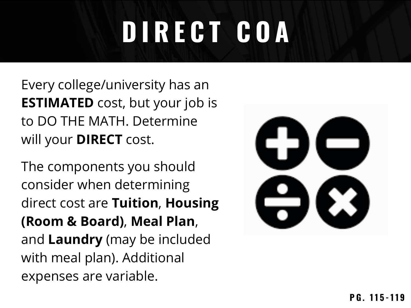## **D I R E C T C O A**

Every college/university has an **ESTIMATED** cost, but your job is to DO THE MATH. Determine will your **DIRECT** cost.

The components you should consider when determining direct cost are **Tuition**, **Housing (Room & Board)**, **Meal Plan**, and **Laundry** (may be included with meal plan). Additional expenses are variable.

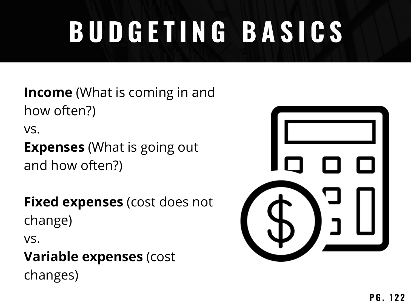## **B U D G E T I N G B A S I C S**

**Income** (What is coming in and how often?) vs. **Expenses** (What is going out and how often?)

**Fixed expenses** (cost does not change)

vs.

### **Variable expenses** (cost

changes)

| ľ | $\mathcal{L}^{\mathcal{A}}$ |  |
|---|-----------------------------|--|
|   |                             |  |
|   |                             |  |